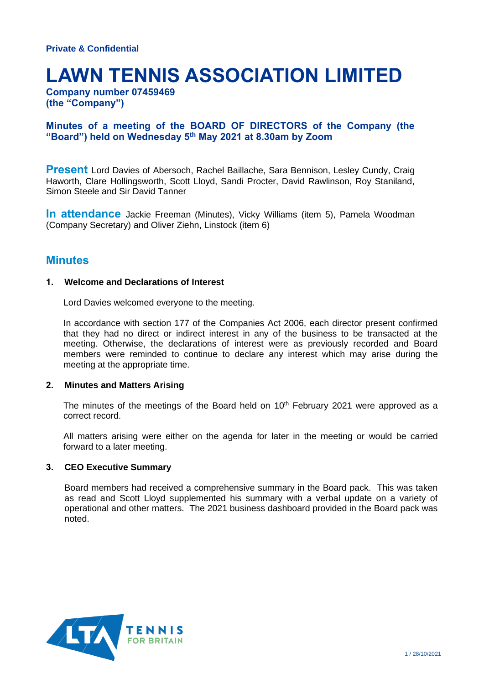# **LAWN TENNIS ASSOCIATION LIMITED**

**Company number 07459469 (the "Company")**

## **Minutes of a meeting of the BOARD OF DIRECTORS of the Company (the "Board") held on Wednesday 5 th May 2021 at 8.30am by Zoom**

**Present** Lord Davies of Abersoch, Rachel Baillache, Sara Bennison, Lesley Cundy, Craig Haworth, Clare Hollingsworth, Scott Lloyd, Sandi Procter, David Rawlinson, Roy Staniland, Simon Steele and Sir David Tanner

**In attendance** Jackie Freeman (Minutes), Vicky Williams (item 5), Pamela Woodman (Company Secretary) and Oliver Ziehn, Linstock (item 6)

## **Minutes**

## **1. Welcome and Declarations of Interest**

Lord Davies welcomed everyone to the meeting.

In accordance with section 177 of the Companies Act 2006, each director present confirmed that they had no direct or indirect interest in any of the business to be transacted at the meeting. Otherwise, the declarations of interest were as previously recorded and Board members were reminded to continue to declare any interest which may arise during the meeting at the appropriate time.

## **2. Minutes and Matters Arising**

The minutes of the meetings of the Board held on  $10<sup>th</sup>$  February 2021 were approved as a correct record.

All matters arising were either on the agenda for later in the meeting or would be carried forward to a later meeting.

#### **3. CEO Executive Summary**

Board members had received a comprehensive summary in the Board pack. This was taken as read and Scott Lloyd supplemented his summary with a verbal update on a variety of operational and other matters. The 2021 business dashboard provided in the Board pack was noted.

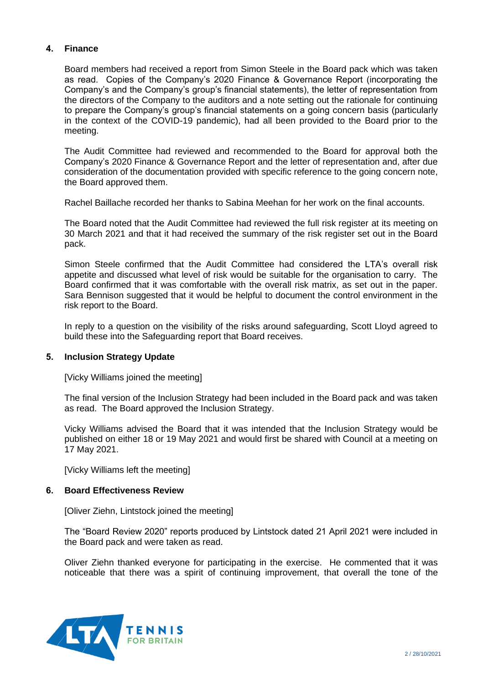## **4. Finance**

Board members had received a report from Simon Steele in the Board pack which was taken as read. Copies of the Company's 2020 Finance & Governance Report (incorporating the Company's and the Company's group's financial statements), the letter of representation from the directors of the Company to the auditors and a note setting out the rationale for continuing to prepare the Company's group's financial statements on a going concern basis (particularly in the context of the COVID-19 pandemic), had all been provided to the Board prior to the meeting.

The Audit Committee had reviewed and recommended to the Board for approval both the Company's 2020 Finance & Governance Report and the letter of representation and, after due consideration of the documentation provided with specific reference to the going concern note, the Board approved them.

Rachel Baillache recorded her thanks to Sabina Meehan for her work on the final accounts.

The Board noted that the Audit Committee had reviewed the full risk register at its meeting on 30 March 2021 and that it had received the summary of the risk register set out in the Board pack.

Simon Steele confirmed that the Audit Committee had considered the LTA's overall risk appetite and discussed what level of risk would be suitable for the organisation to carry. The Board confirmed that it was comfortable with the overall risk matrix, as set out in the paper. Sara Bennison suggested that it would be helpful to document the control environment in the risk report to the Board.

In reply to a question on the visibility of the risks around safeguarding, Scott Lloyd agreed to build these into the Safeguarding report that Board receives.

## **5. Inclusion Strategy Update**

[Vicky Williams joined the meeting]

The final version of the Inclusion Strategy had been included in the Board pack and was taken as read. The Board approved the Inclusion Strategy.

Vicky Williams advised the Board that it was intended that the Inclusion Strategy would be published on either 18 or 19 May 2021 and would first be shared with Council at a meeting on 17 May 2021.

[Vicky Williams left the meeting]

#### **6. Board Effectiveness Review**

[Oliver Ziehn, Lintstock joined the meeting]

The "Board Review 2020" reports produced by Lintstock dated 21 April 2021 were included in the Board pack and were taken as read.

Oliver Ziehn thanked everyone for participating in the exercise. He commented that it was noticeable that there was a spirit of continuing improvement, that overall the tone of the

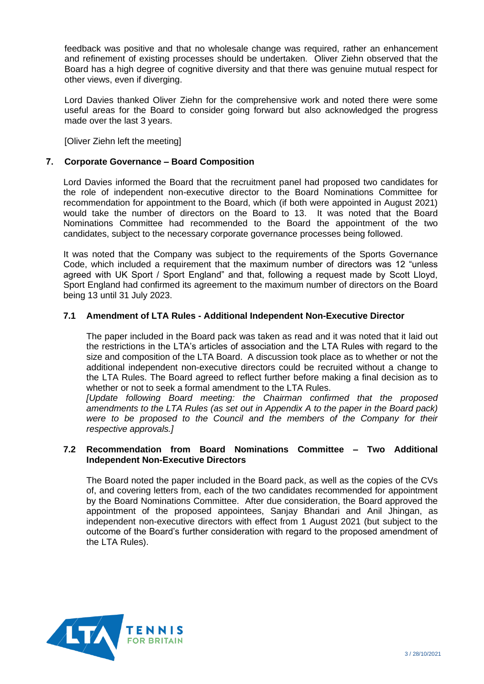feedback was positive and that no wholesale change was required, rather an enhancement and refinement of existing processes should be undertaken. Oliver Ziehn observed that the Board has a high degree of cognitive diversity and that there was genuine mutual respect for other views, even if diverging.

Lord Davies thanked Oliver Ziehn for the comprehensive work and noted there were some useful areas for the Board to consider going forward but also acknowledged the progress made over the last 3 years.

[Oliver Ziehn left the meeting]

## **7. Corporate Governance – Board Composition**

Lord Davies informed the Board that the recruitment panel had proposed two candidates for the role of independent non-executive director to the Board Nominations Committee for recommendation for appointment to the Board, which (if both were appointed in August 2021) would take the number of directors on the Board to 13. It was noted that the Board Nominations Committee had recommended to the Board the appointment of the two candidates, subject to the necessary corporate governance processes being followed.

It was noted that the Company was subject to the requirements of the Sports Governance Code, which included a requirement that the maximum number of directors was 12 "unless agreed with UK Sport / Sport England" and that, following a request made by Scott Lloyd, Sport England had confirmed its agreement to the maximum number of directors on the Board being 13 until 31 July 2023.

## **7.1 Amendment of LTA Rules - Additional Independent Non-Executive Director**

The paper included in the Board pack was taken as read and it was noted that it laid out the restrictions in the LTA's articles of association and the LTA Rules with regard to the size and composition of the LTA Board. A discussion took place as to whether or not the additional independent non-executive directors could be recruited without a change to the LTA Rules. The Board agreed to reflect further before making a final decision as to whether or not to seek a formal amendment to the LTA Rules.

*[Update following Board meeting: the Chairman confirmed that the proposed amendments to the LTA Rules (as set out in Appendix A to the paper in the Board pack) were to be proposed to the Council and the members of the Company for their respective approvals.]*

## **7.2 Recommendation from Board Nominations Committee – Two Additional Independent Non-Executive Directors**

The Board noted the paper included in the Board pack, as well as the copies of the CVs of, and covering letters from, each of the two candidates recommended for appointment by the Board Nominations Committee. After due consideration, the Board approved the appointment of the proposed appointees, Sanjay Bhandari and Anil Jhingan, as independent non-executive directors with effect from 1 August 2021 (but subject to the outcome of the Board's further consideration with regard to the proposed amendment of the LTA Rules).